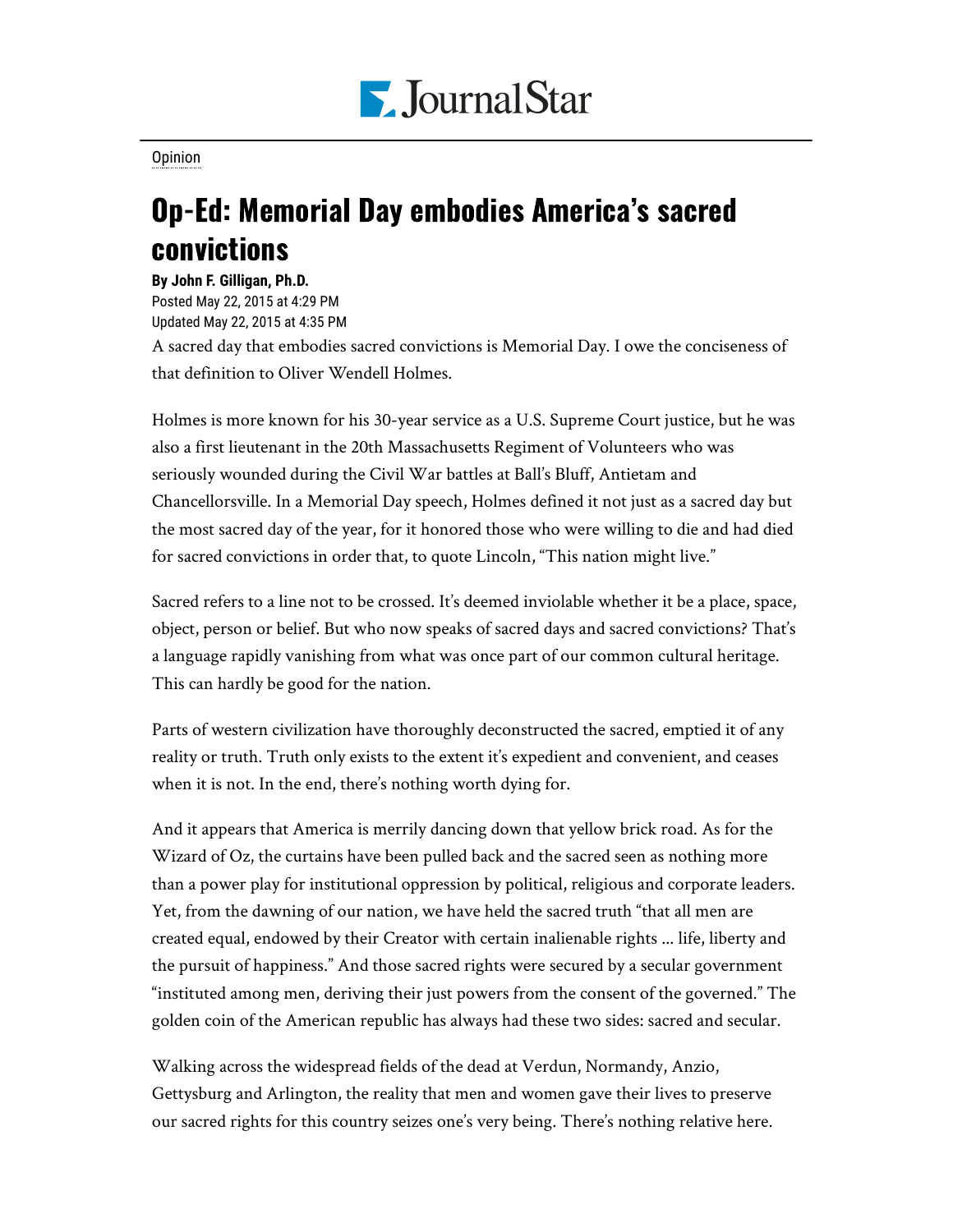

[Opinion](https://www.pjstar.com/search?text=Opinion)

## Op-Ed: Memorial Day embodies America's sacred convictions

**By John F. Gilligan, Ph.D.** Posted May 22, 2015 at 4:29 PM Updated May 22, 2015 at 4:35 PM

A sacred day that embodies sacred convictions is Memorial Day. I owe the conciseness of that definition to Oliver Wendell Holmes.

Holmes is more known for his 30-year service as a U.S. Supreme Court justice, but he was also a first lieutenant in the 20th Massachusetts Regiment of Volunteers who was seriously wounded during the Civil War battles at Ball's Bluff, Antietam and Chancellorsville. In a Memorial Day speech, Holmes defined it not just as a sacred day but the most sacred day of the year, for it honored those who were willing to die and had died for sacred convictions in order that, to quote Lincoln, "This nation might live."

Sacred refers to a line not to be crossed. It's deemed inviolable whether it be a place, space, object, person or belief. But who now speaks of sacred days and sacred convictions? That's a language rapidly vanishing from what was once part of our common cultural heritage. This can hardly be good for the nation.

Parts of western civilization have thoroughly deconstructed the sacred, emptied it of any reality or truth. Truth only exists to the extent it's expedient and convenient, and ceases when it is not. In the end, there's nothing worth dying for.

And it appears that America is merrily dancing down that yellow brick road. As for the Wizard of Oz, the curtains have been pulled back and the sacred seen as nothing more than a power play for institutional oppression by political, religious and corporate leaders. Yet, from the dawning of our nation, we have held the sacred truth "that all men are created equal, endowed by their Creator with certain inalienable rights ... life, liberty and the pursuit of happiness." And those sacred rights were secured by a secular government "instituted among men, deriving their just powers from the consent of the governed." The golden coin of the American republic has always had these two sides: sacred and secular.

Walking across the widespread fields of the dead at Verdun, Normandy, Anzio, Gettysburg and Arlington, the reality that men and women gave their lives to preserve our sacred rights for this country seizes one's very being. There's nothing relative here.